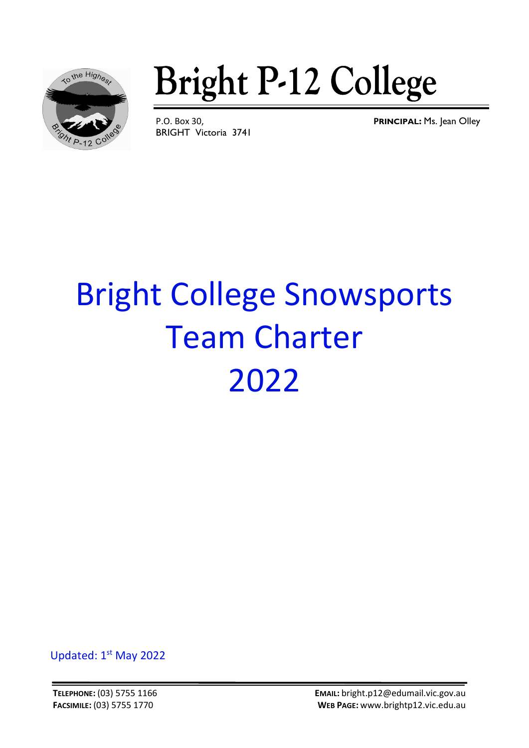

**Bright P-12 College** 

BRIGHT Victoria 3741

P.O. Box 30, **PRINCIPAL:** Ms. Jean Olley

# Bright College Snowsports Team Charter 2022

Updated: 1st May 2022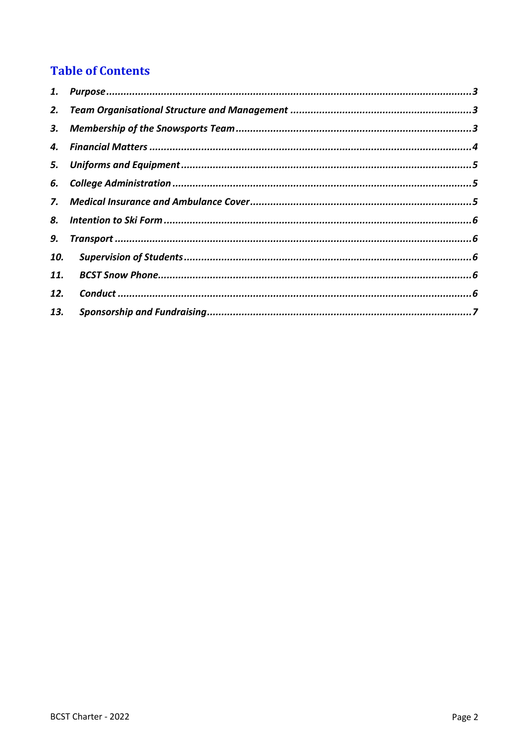# **Table of Contents**

| 1.  |  |
|-----|--|
| 2.  |  |
|     |  |
| 4.  |  |
|     |  |
|     |  |
|     |  |
| 8.  |  |
| 9.  |  |
| 10. |  |
| 11. |  |
| 12. |  |
| 13. |  |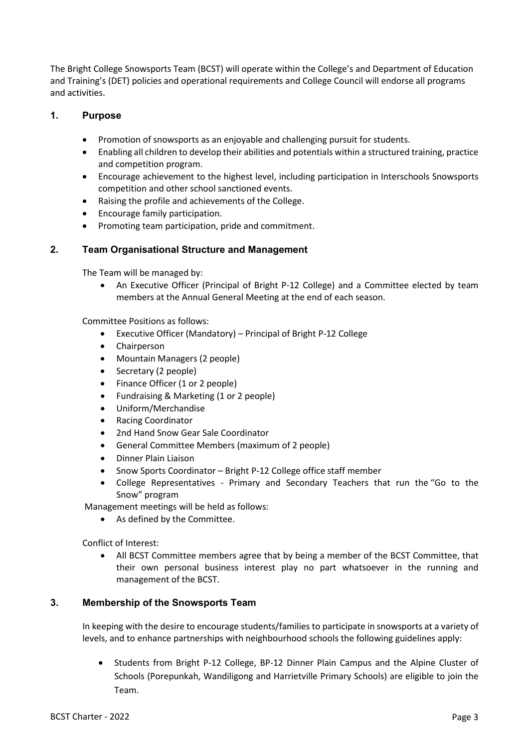The Bright College Snowsports Team (BCST) will operate within the College's and Department of Education and Training's (DET) policies and operational requirements and College Council will endorse all programs and activities.

#### <span id="page-2-0"></span>**1. Purpose**

- Promotion of snowsports as an enjoyable and challenging pursuit for students.
- Enabling all children to develop their abilities and potentials within a structured training, practice and competition program.
- Encourage achievement to the highest level, including participation in Interschools Snowsports competition and other school sanctioned events.
- Raising the profile and achievements of the College.
- Encourage family participation.
- Promoting team participation, pride and commitment.

## <span id="page-2-1"></span>**2. Team Organisational Structure and Management**

The Team will be managed by:

• An Executive Officer (Principal of Bright P-12 College) and a Committee elected by team members at the Annual General Meeting at the end of each season.

Committee Positions as follows:

- Executive Officer (Mandatory) Principal of Bright P-12 College
- Chairperson
- Mountain Managers (2 people)
- Secretary (2 people)
- Finance Officer (1 or 2 people)
- Fundraising & Marketing (1 or 2 people)
- Uniform/Merchandise
- Racing Coordinator
- 2nd Hand Snow Gear Sale Coordinator
- General Committee Members (maximum of 2 people)
- Dinner Plain Liaison
- Snow Sports Coordinator Bright P-12 College office staff member
- College Representatives Primary and Secondary Teachers that run the "Go to the Snow" program

Management meetings will be held as follows:

• As defined by the Committee.

Conflict of Interest:

• All BCST Committee members agree that by being a member of the BCST Committee, that their own personal business interest play no part whatsoever in the running and management of the BCST.

# <span id="page-2-2"></span>**3. Membership of the Snowsports Team**

In keeping with the desire to encourage students/families to participate in snowsports at a variety of levels, and to enhance partnerships with neighbourhood schools the following guidelines apply:

• Students from Bright P-12 College, BP-12 Dinner Plain Campus and the Alpine Cluster of Schools (Porepunkah, Wandiligong and Harrietville Primary Schools) are eligible to join the Team.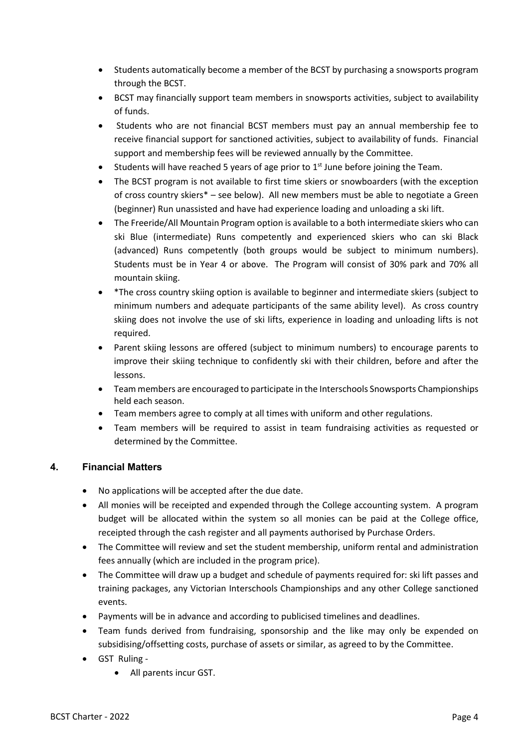- Students automatically become a member of the BCST by purchasing a snowsports program through the BCST.
- BCST may financially support team members in snowsports activities, subject to availability of funds.
- Students who are not financial BCST members must pay an annual membership fee to receive financial support for sanctioned activities, subject to availability of funds. Financial support and membership fees will be reviewed annually by the Committee.
- Students will have reached 5 years of age prior to  $1<sup>st</sup>$  June before joining the Team.
- The BCST program is not available to first time skiers or snowboarders (with the exception of cross country skiers\* – see below). All new members must be able to negotiate a Green (beginner) Run unassisted and have had experience loading and unloading a ski lift.
- The Freeride/All Mountain Program option is available to a both intermediate skiers who can ski Blue (intermediate) Runs competently and experienced skiers who can ski Black (advanced) Runs competently (both groups would be subject to minimum numbers). Students must be in Year 4 or above. The Program will consist of 30% park and 70% all mountain skiing.
- \*The cross country skiing option is available to beginner and intermediate skiers (subject to minimum numbers and adequate participants of the same ability level). As cross country skiing does not involve the use of ski lifts, experience in loading and unloading lifts is not required.
- Parent skiing lessons are offered (subject to minimum numbers) to encourage parents to improve their skiing technique to confidently ski with their children, before and after the lessons.
- Team members are encouraged to participate in the Interschools Snowsports Championships held each season.
- Team members agree to comply at all times with uniform and other regulations.
- Team members will be required to assist in team fundraising activities as requested or determined by the Committee.

# <span id="page-3-0"></span>**4. Financial Matters**

- No applications will be accepted after the due date.
- All monies will be receipted and expended through the College accounting system. A program budget will be allocated within the system so all monies can be paid at the College office, receipted through the cash register and all payments authorised by Purchase Orders.
- The Committee will review and set the student membership, uniform rental and administration fees annually (which are included in the program price).
- The Committee will draw up a budget and schedule of payments required for: ski lift passes and training packages, any Victorian Interschools Championships and any other College sanctioned events.
- Payments will be in advance and according to publicised timelines and deadlines.
- Team funds derived from fundraising, sponsorship and the like may only be expended on subsidising/offsetting costs, purchase of assets or similar, as agreed to by the Committee.
- GST Ruling
	- All parents incur GST.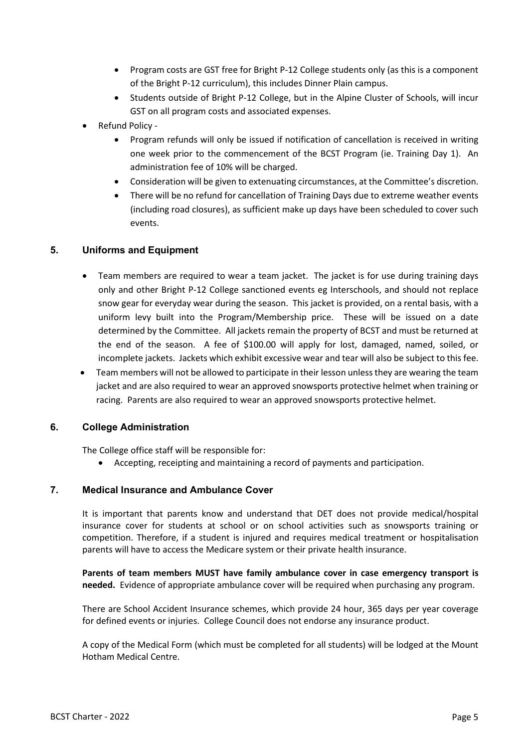- Program costs are GST free for Bright P-12 College students only (as this is a component of the Bright P-12 curriculum), this includes Dinner Plain campus.
- Students outside of Bright P-12 College, but in the Alpine Cluster of Schools, will incur GST on all program costs and associated expenses.
- Refund Policy
	- Program refunds will only be issued if notification of cancellation is received in writing one week prior to the commencement of the BCST Program (ie. Training Day 1). An administration fee of 10% will be charged.
	- Consideration will be given to extenuating circumstances, at the Committee's discretion.
	- There will be no refund for cancellation of Training Days due to extreme weather events (including road closures), as sufficient make up days have been scheduled to cover such events.

## <span id="page-4-0"></span>**5. Uniforms and Equipment**

- Team members are required to wear a team jacket. The jacket is for use during training days only and other Bright P-12 College sanctioned events eg Interschools, and should not replace snow gear for everyday wear during the season. This jacket is provided, on a rental basis, with a uniform levy built into the Program/Membership price. These will be issued on a date determined by the Committee. All jackets remain the property of BCST and must be returned at the end of the season. A fee of \$100.00 will apply for lost, damaged, named, soiled, or incomplete jackets. Jackets which exhibit excessive wear and tear will also be subject to this fee.
- Team members will not be allowed to participate in their lesson unless they are wearing the team jacket and are also required to wear an approved snowsports protective helmet when training or racing. Parents are also required to wear an approved snowsports protective helmet.

#### <span id="page-4-1"></span>**6. College Administration**

The College office staff will be responsible for:

• Accepting, receipting and maintaining a record of payments and participation.

#### <span id="page-4-2"></span>**7. Medical Insurance and Ambulance Cover**

It is important that parents know and understand that DET does not provide medical/hospital insurance cover for students at school or on school activities such as snowsports training or competition. Therefore, if a student is injured and requires medical treatment or hospitalisation parents will have to access the Medicare system or their private health insurance.

**Parents of team members MUST have family ambulance cover in case emergency transport is needed.** Evidence of appropriate ambulance cover will be required when purchasing any program.

There are School Accident Insurance schemes, which provide 24 hour, 365 days per year coverage for defined events or injuries. College Council does not endorse any insurance product.

A copy of the Medical Form (which must be completed for all students) will be lodged at the Mount Hotham Medical Centre.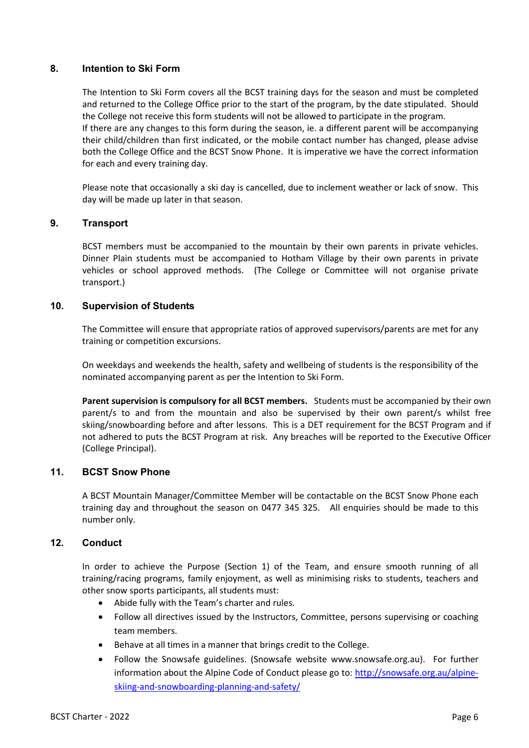#### <span id="page-5-0"></span>**8. Intention to Ski Form**

The Intention to Ski Form covers all the BCST training days for the season and must be completed and returned to the College Office prior to the start of the program, by the date stipulated. Should the College not receive this form students will not be allowed to participate in the program. If there are any changes to this form during the season, ie. a different parent will be accompanying their child/children than first indicated, or the mobile contact number has changed, please advise both the College Office and the BCST Snow Phone. It is imperative we have the correct information for each and every training day.

Please note that occasionally a ski day is cancelled, due to inclement weather or lack of snow. This day will be made up later in that season.

#### <span id="page-5-1"></span>**9. Transport**

BCST members must be accompanied to the mountain by their own parents in private vehicles. Dinner Plain students must be accompanied to Hotham Village by their own parents in private vehicles or school approved methods. (The College or Committee will not organise private transport.)

#### <span id="page-5-2"></span>**10. Supervision of Students**

The Committee will ensure that appropriate ratios of approved supervisors/parents are met for any training or competition excursions.

On weekdays and weekends the health, safety and wellbeing of students is the responsibility of the nominated accompanying parent as per the Intention to Ski Form.

**Parent supervision is compulsory for all BCST members.** Students must be accompanied by their own parent/s to and from the mountain and also be supervised by their own parent/s whilst free skiing/snowboarding before and after lessons. This is a DET requirement for the BCST Program and if not adhered to puts the BCST Program at risk. Any breaches will be reported to the Executive Officer (College Principal).

#### <span id="page-5-3"></span>**11. BCST Snow Phone**

A BCST Mountain Manager/Committee Member will be contactable on the BCST Snow Phone each training day and throughout the season on 0477 345 325. All enquiries should be made to this number only.

# <span id="page-5-4"></span>**12. Conduct**

In order to achieve the Purpose (Section 1) of the Team, and ensure smooth running of all training/racing programs, family enjoyment, as well as minimising risks to students, teachers and other snow sports participants, all students must:

- Abide fully with the Team's charter and rules.
- Follow all directives issued by the Instructors, Committee, persons supervising or coaching team members.
- Behave at all times in a manner that brings credit to the College.
- Follow the Snowsafe guidelines. (Snowsafe website [www.snowsafe.org.au\)](http://www.snowsafe.org.au/). For further information about the Alpine Code of Conduct please go to: [http://snowsafe.org.au/alpine](http://snowsafe.org.au/alpine-skiing-and-snowboarding-planning-and-safety/)[skiing-and-snowboarding-planning-and-safety/](http://snowsafe.org.au/alpine-skiing-and-snowboarding-planning-and-safety/)